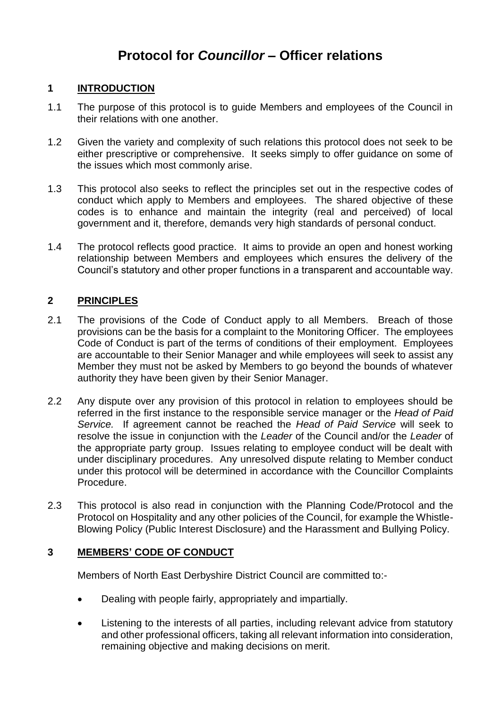# **Protocol for** *Councillor* **– Officer relations**

# **1 INTRODUCTION**

- 1.1 The purpose of this protocol is to guide Members and employees of the Council in their relations with one another.
- 1.2 Given the variety and complexity of such relations this protocol does not seek to be either prescriptive or comprehensive. It seeks simply to offer guidance on some of the issues which most commonly arise.
- 1.3 This protocol also seeks to reflect the principles set out in the respective codes of conduct which apply to Members and employees. The shared objective of these codes is to enhance and maintain the integrity (real and perceived) of local government and it, therefore, demands very high standards of personal conduct.
- 1.4 The protocol reflects good practice. It aims to provide an open and honest working relationship between Members and employees which ensures the delivery of the Council's statutory and other proper functions in a transparent and accountable way.

# **2 PRINCIPLES**

- 2.1 The provisions of the Code of Conduct apply to all Members. Breach of those provisions can be the basis for a complaint to the Monitoring Officer. The employees Code of Conduct is part of the terms of conditions of their employment. Employees are accountable to their Senior Manager and while employees will seek to assist any Member they must not be asked by Members to go beyond the bounds of whatever authority they have been given by their Senior Manager.
- 2.2 Any dispute over any provision of this protocol in relation to employees should be referred in the first instance to the responsible service manager or the *Head of Paid Service.* If agreement cannot be reached the *Head of Paid Service* will seek to resolve the issue in conjunction with the *Leader* of the Council and/or the *Leader* of the appropriate party group. Issues relating to employee conduct will be dealt with under disciplinary procedures. Any unresolved dispute relating to Member conduct under this protocol will be determined in accordance with the Councillor Complaints Procedure.
- 2.3 This protocol is also read in conjunction with the Planning Code/Protocol and the Protocol on Hospitality and any other policies of the Council, for example the Whistle-Blowing Policy (Public Interest Disclosure) and the Harassment and Bullying Policy.

# **3 MEMBERS' CODE OF CONDUCT**

Members of North East Derbyshire District Council are committed to:-

- Dealing with people fairly, appropriately and impartially.
- Listening to the interests of all parties, including relevant advice from statutory and other professional officers, taking all relevant information into consideration, remaining objective and making decisions on merit.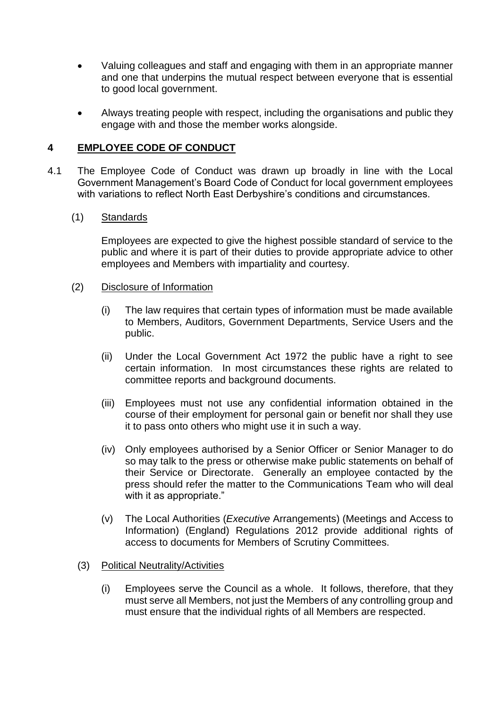- Valuing colleagues and staff and engaging with them in an appropriate manner and one that underpins the mutual respect between everyone that is essential to good local government.
- Always treating people with respect, including the organisations and public they engage with and those the member works alongside.

# **4 EMPLOYEE CODE OF CONDUCT**

4.1 The Employee Code of Conduct was drawn up broadly in line with the Local Government Management's Board Code of Conduct for local government employees with variations to reflect North East Derbyshire's conditions and circumstances.

#### (1) Standards

Employees are expected to give the highest possible standard of service to the public and where it is part of their duties to provide appropriate advice to other employees and Members with impartiality and courtesy.

#### (2) Disclosure of Information

- (i) The law requires that certain types of information must be made available to Members, Auditors, Government Departments, Service Users and the public.
- (ii) Under the Local Government Act 1972 the public have a right to see certain information. In most circumstances these rights are related to committee reports and background documents.
- (iii) Employees must not use any confidential information obtained in the course of their employment for personal gain or benefit nor shall they use it to pass onto others who might use it in such a way.
- (iv) Only employees authorised by a Senior Officer or Senior Manager to do so may talk to the press or otherwise make public statements on behalf of their Service or Directorate. Generally an employee contacted by the press should refer the matter to the Communications Team who will deal with it as appropriate."
- (v) The Local Authorities (*Executive* Arrangements) (Meetings and Access to Information) (England) Regulations 2012 provide additional rights of access to documents for Members of Scrutiny Committees.

#### (3) Political Neutrality/Activities

(i) Employees serve the Council as a whole. It follows, therefore, that they must serve all Members, not just the Members of any controlling group and must ensure that the individual rights of all Members are respected.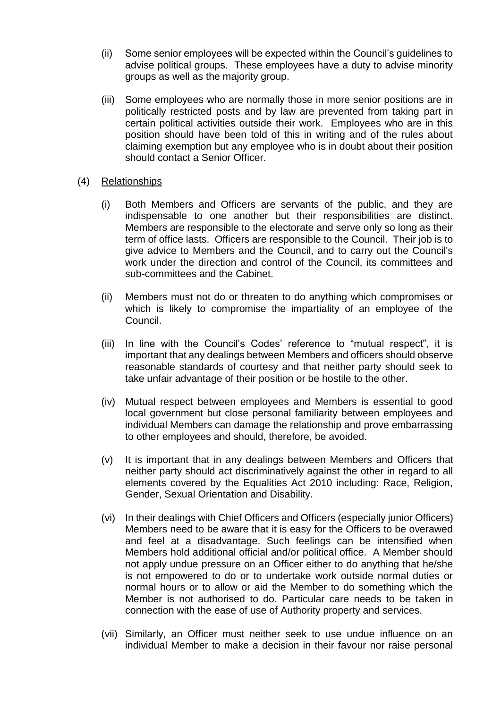- (ii) Some senior employees will be expected within the Council's guidelines to advise political groups. These employees have a duty to advise minority groups as well as the majority group.
- (iii) Some employees who are normally those in more senior positions are in politically restricted posts and by law are prevented from taking part in certain political activities outside their work. Employees who are in this position should have been told of this in writing and of the rules about claiming exemption but any employee who is in doubt about their position should contact a Senior Officer.
- (4) Relationships
	- (i) Both Members and Officers are servants of the public, and they are indispensable to one another but their responsibilities are distinct. Members are responsible to the electorate and serve only so long as their term of office lasts. Officers are responsible to the Council. Their job is to give advice to Members and the Council, and to carry out the Council's work under the direction and control of the Council, its committees and sub-committees and the Cabinet.
	- (ii) Members must not do or threaten to do anything which compromises or which is likely to compromise the impartiality of an employee of the Council.
	- (iii) In line with the Council's Codes' reference to "mutual respect", it is important that any dealings between Members and officers should observe reasonable standards of courtesy and that neither party should seek to take unfair advantage of their position or be hostile to the other.
	- (iv) Mutual respect between employees and Members is essential to good local government but close personal familiarity between employees and individual Members can damage the relationship and prove embarrassing to other employees and should, therefore, be avoided.
	- (v) It is important that in any dealings between Members and Officers that neither party should act discriminatively against the other in regard to all elements covered by the Equalities Act 2010 including: Race, Religion, Gender, Sexual Orientation and Disability.
	- (vi) In their dealings with Chief Officers and Officers (especially junior Officers) Members need to be aware that it is easy for the Officers to be overawed and feel at a disadvantage. Such feelings can be intensified when Members hold additional official and/or political office. A Member should not apply undue pressure on an Officer either to do anything that he/she is not empowered to do or to undertake work outside normal duties or normal hours or to allow or aid the Member to do something which the Member is not authorised to do. Particular care needs to be taken in connection with the ease of use of Authority property and services.
	- (vii) Similarly, an Officer must neither seek to use undue influence on an individual Member to make a decision in their favour nor raise personal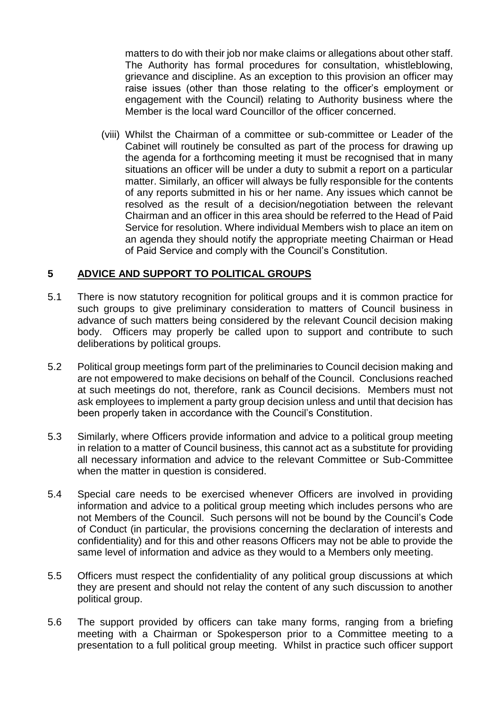matters to do with their job nor make claims or allegations about other staff. The Authority has formal procedures for consultation, whistleblowing, grievance and discipline. As an exception to this provision an officer may raise issues (other than those relating to the officer's employment or engagement with the Council) relating to Authority business where the Member is the local ward Councillor of the officer concerned.

(viii) Whilst the Chairman of a committee or sub-committee or Leader of the Cabinet will routinely be consulted as part of the process for drawing up the agenda for a forthcoming meeting it must be recognised that in many situations an officer will be under a duty to submit a report on a particular matter. Similarly, an officer will always be fully responsible for the contents of any reports submitted in his or her name. Any issues which cannot be resolved as the result of a decision/negotiation between the relevant Chairman and an officer in this area should be referred to the Head of Paid Service for resolution. Where individual Members wish to place an item on an agenda they should notify the appropriate meeting Chairman or Head of Paid Service and comply with the Council's Constitution.

# **5 ADVICE AND SUPPORT TO POLITICAL GROUPS**

- 5.1 There is now statutory recognition for political groups and it is common practice for such groups to give preliminary consideration to matters of Council business in advance of such matters being considered by the relevant Council decision making body. Officers may properly be called upon to support and contribute to such deliberations by political groups.
- 5.2 Political group meetings form part of the preliminaries to Council decision making and are not empowered to make decisions on behalf of the Council. Conclusions reached at such meetings do not, therefore, rank as Council decisions. Members must not ask employees to implement a party group decision unless and until that decision has been properly taken in accordance with the Council's Constitution.
- 5.3 Similarly, where Officers provide information and advice to a political group meeting in relation to a matter of Council business, this cannot act as a substitute for providing all necessary information and advice to the relevant Committee or Sub-Committee when the matter in question is considered.
- 5.4 Special care needs to be exercised whenever Officers are involved in providing information and advice to a political group meeting which includes persons who are not Members of the Council. Such persons will not be bound by the Council's Code of Conduct (in particular, the provisions concerning the declaration of interests and confidentiality) and for this and other reasons Officers may not be able to provide the same level of information and advice as they would to a Members only meeting.
- 5.5 Officers must respect the confidentiality of any political group discussions at which they are present and should not relay the content of any such discussion to another political group.
- 5.6 The support provided by officers can take many forms, ranging from a briefing meeting with a Chairman or Spokesperson prior to a Committee meeting to a presentation to a full political group meeting. Whilst in practice such officer support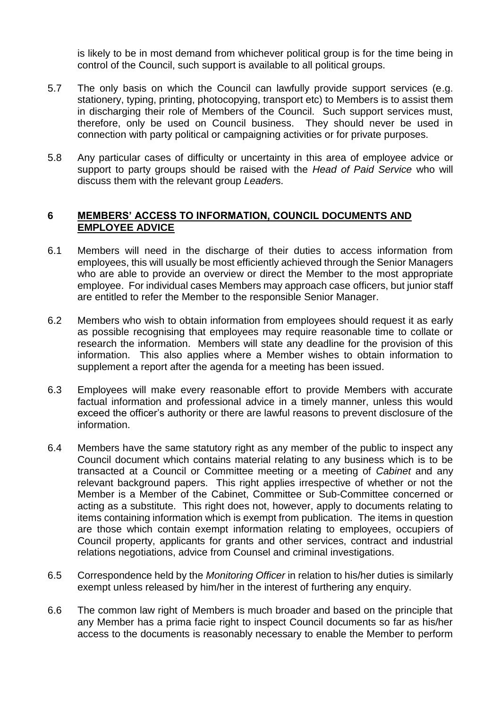is likely to be in most demand from whichever political group is for the time being in control of the Council, such support is available to all political groups.

- 5.7 The only basis on which the Council can lawfully provide support services (e.g. stationery, typing, printing, photocopying, transport etc) to Members is to assist them in discharging their role of Members of the Council. Such support services must, therefore, only be used on Council business. They should never be used in connection with party political or campaigning activities or for private purposes.
- 5.8 Any particular cases of difficulty or uncertainty in this area of employee advice or support to party groups should be raised with the *Head of Paid Service* who will discuss them with the relevant group *Leader*s.

#### **6 MEMBERS' ACCESS TO INFORMATION, COUNCIL DOCUMENTS AND EMPLOYEE ADVICE**

- 6.1 Members will need in the discharge of their duties to access information from employees, this will usually be most efficiently achieved through the Senior Managers who are able to provide an overview or direct the Member to the most appropriate employee. For individual cases Members may approach case officers, but junior staff are entitled to refer the Member to the responsible Senior Manager.
- 6.2 Members who wish to obtain information from employees should request it as early as possible recognising that employees may require reasonable time to collate or research the information. Members will state any deadline for the provision of this information. This also applies where a Member wishes to obtain information to supplement a report after the agenda for a meeting has been issued.
- 6.3 Employees will make every reasonable effort to provide Members with accurate factual information and professional advice in a timely manner, unless this would exceed the officer's authority or there are lawful reasons to prevent disclosure of the information.
- 6.4 Members have the same statutory right as any member of the public to inspect any Council document which contains material relating to any business which is to be transacted at a Council or Committee meeting or a meeting of *Cabinet* and any relevant background papers. This right applies irrespective of whether or not the Member is a Member of the Cabinet, Committee or Sub-Committee concerned or acting as a substitute. This right does not, however, apply to documents relating to items containing information which is exempt from publication. The items in question are those which contain exempt information relating to employees, occupiers of Council property, applicants for grants and other services, contract and industrial relations negotiations, advice from Counsel and criminal investigations.
- 6.5 Correspondence held by the *Monitoring Officer* in relation to his/her duties is similarly exempt unless released by him/her in the interest of furthering any enquiry.
- 6.6 The common law right of Members is much broader and based on the principle that any Member has a prima facie right to inspect Council documents so far as his/her access to the documents is reasonably necessary to enable the Member to perform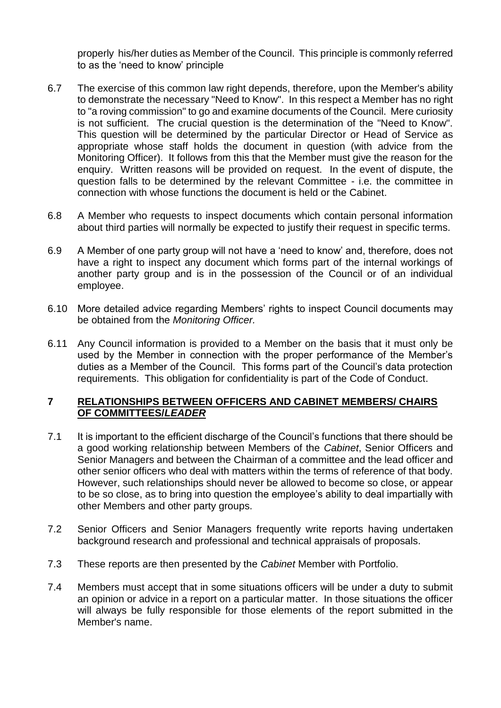properly his/her duties as Member of the Council. This principle is commonly referred to as the 'need to know' principle

- 6.7 The exercise of this common law right depends, therefore, upon the Member's ability to demonstrate the necessary "Need to Know". In this respect a Member has no right to "a roving commission" to go and examine documents of the Council. Mere curiosity is not sufficient. The crucial question is the determination of the "Need to Know". This question will be determined by the particular Director or Head of Service as appropriate whose staff holds the document in question (with advice from the Monitoring Officer). It follows from this that the Member must give the reason for the enquiry. Written reasons will be provided on request. In the event of dispute, the question falls to be determined by the relevant Committee - i.e. the committee in connection with whose functions the document is held or the Cabinet.
- 6.8 A Member who requests to inspect documents which contain personal information about third parties will normally be expected to justify their request in specific terms.
- 6.9 A Member of one party group will not have a 'need to know' and, therefore, does not have a right to inspect any document which forms part of the internal workings of another party group and is in the possession of the Council or of an individual employee.
- 6.10 More detailed advice regarding Members' rights to inspect Council documents may be obtained from the *Monitoring Officer.*
- 6.11 Any Council information is provided to a Member on the basis that it must only be used by the Member in connection with the proper performance of the Member's duties as a Member of the Council. This forms part of the Council's data protection requirements. This obligation for confidentiality is part of the Code of Conduct.

#### **7 RELATIONSHIPS BETWEEN OFFICERS AND CABINET MEMBERS/ CHAIRS OF COMMITTEES/***LEADER*

- 7.1 It is important to the efficient discharge of the Council's functions that there should be a good working relationship between Members of the *Cabinet*, Senior Officers and Senior Managers and between the Chairman of a committee and the lead officer and other senior officers who deal with matters within the terms of reference of that body. However, such relationships should never be allowed to become so close, or appear to be so close, as to bring into question the employee's ability to deal impartially with other Members and other party groups.
- 7.2 Senior Officers and Senior Managers frequently write reports having undertaken background research and professional and technical appraisals of proposals.
- 7.3 These reports are then presented by the *Cabinet* Member with Portfolio.
- 7.4 Members must accept that in some situations officers will be under a duty to submit an opinion or advice in a report on a particular matter. In those situations the officer will always be fully responsible for those elements of the report submitted in the Member's name.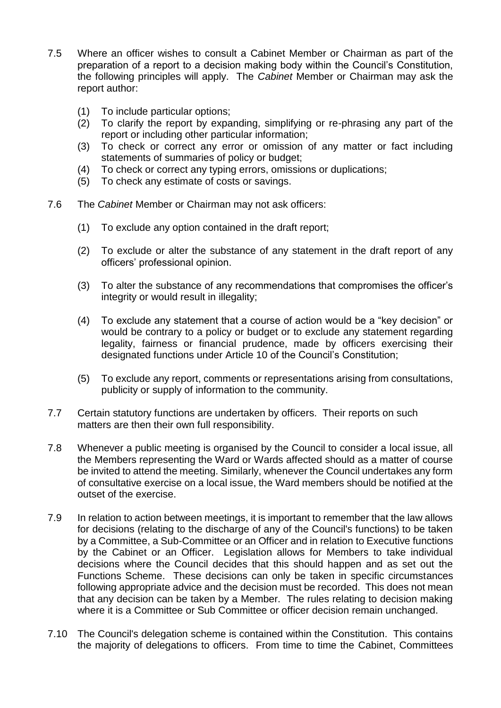- 7.5 Where an officer wishes to consult a Cabinet Member or Chairman as part of the preparation of a report to a decision making body within the Council's Constitution, the following principles will apply. The *Cabinet* Member or Chairman may ask the report author:
	- (1) To include particular options;
	- (2) To clarify the report by expanding, simplifying or re-phrasing any part of the report or including other particular information;
	- (3) To check or correct any error or omission of any matter or fact including statements of summaries of policy or budget;
	- (4) To check or correct any typing errors, omissions or duplications;
	- (5) To check any estimate of costs or savings.
- 7.6 The *Cabinet* Member or Chairman may not ask officers:
	- (1) To exclude any option contained in the draft report;
	- (2) To exclude or alter the substance of any statement in the draft report of any officers' professional opinion.
	- (3) To alter the substance of any recommendations that compromises the officer's integrity or would result in illegality;
	- (4) To exclude any statement that a course of action would be a "key decision" or would be contrary to a policy or budget or to exclude any statement regarding legality, fairness or financial prudence, made by officers exercising their designated functions under Article 10 of the Council's Constitution;
	- (5) To exclude any report, comments or representations arising from consultations, publicity or supply of information to the community.
- 7.7 Certain statutory functions are undertaken by officers. Their reports on such matters are then their own full responsibility.
- 7.8 Whenever a public meeting is organised by the Council to consider a local issue, all the Members representing the Ward or Wards affected should as a matter of course be invited to attend the meeting. Similarly, whenever the Council undertakes any form of consultative exercise on a local issue, the Ward members should be notified at the outset of the exercise.
- 7.9 In relation to action between meetings, it is important to remember that the law allows for decisions (relating to the discharge of any of the Council's functions) to be taken by a Committee, a Sub-Committee or an Officer and in relation to Executive functions by the Cabinet or an Officer. Legislation allows for Members to take individual decisions where the Council decides that this should happen and as set out the Functions Scheme. These decisions can only be taken in specific circumstances following appropriate advice and the decision must be recorded. This does not mean that any decision can be taken by a Member. The rules relating to decision making where it is a Committee or Sub Committee or officer decision remain unchanged.
- 7.10 The Council's delegation scheme is contained within the Constitution. This contains the majority of delegations to officers. From time to time the Cabinet, Committees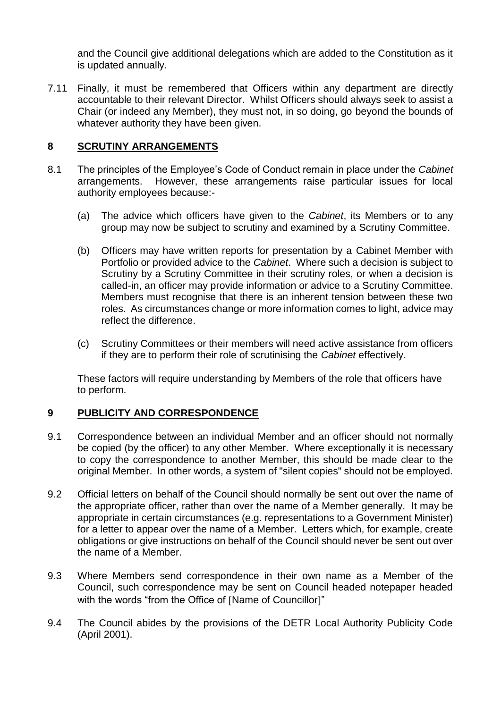and the Council give additional delegations which are added to the Constitution as it is updated annually.

7.11 Finally, it must be remembered that Officers within any department are directly accountable to their relevant Director. Whilst Officers should always seek to assist a Chair (or indeed any Member), they must not, in so doing, go beyond the bounds of whatever authority they have been given.

# **8 SCRUTINY ARRANGEMENTS**

- 8.1 The principles of the Employee's Code of Conduct remain in place under the *Cabinet* arrangements. However, these arrangements raise particular issues for local authority employees because:-
	- (a) The advice which officers have given to the *Cabinet*, its Members or to any group may now be subject to scrutiny and examined by a Scrutiny Committee.
	- (b) Officers may have written reports for presentation by a Cabinet Member with Portfolio or provided advice to the *Cabinet*. Where such a decision is subject to Scrutiny by a Scrutiny Committee in their scrutiny roles, or when a decision is called-in, an officer may provide information or advice to a Scrutiny Committee. Members must recognise that there is an inherent tension between these two roles. As circumstances change or more information comes to light, advice may reflect the difference.
	- (c) Scrutiny Committees or their members will need active assistance from officers if they are to perform their role of scrutinising the *Cabinet* effectively.

These factors will require understanding by Members of the role that officers have to perform.

# **9 PUBLICITY AND CORRESPONDENCE**

- 9.1 Correspondence between an individual Member and an officer should not normally be copied (by the officer) to any other Member. Where exceptionally it is necessary to copy the correspondence to another Member, this should be made clear to the original Member. In other words, a system of "silent copies" should not be employed.
- 9.2 Official letters on behalf of the Council should normally be sent out over the name of the appropriate officer, rather than over the name of a Member generally. It may be appropriate in certain circumstances (e.g. representations to a Government Minister) for a letter to appear over the name of a Member. Letters which, for example, create obligations or give instructions on behalf of the Council should never be sent out over the name of a Member.
- 9.3 Where Members send correspondence in their own name as a Member of the Council, such correspondence may be sent on Council headed notepaper headed with the words "from the Office of [Name of Councillor]"
- 9.4 The Council abides by the provisions of the DETR Local Authority Publicity Code (April 2001).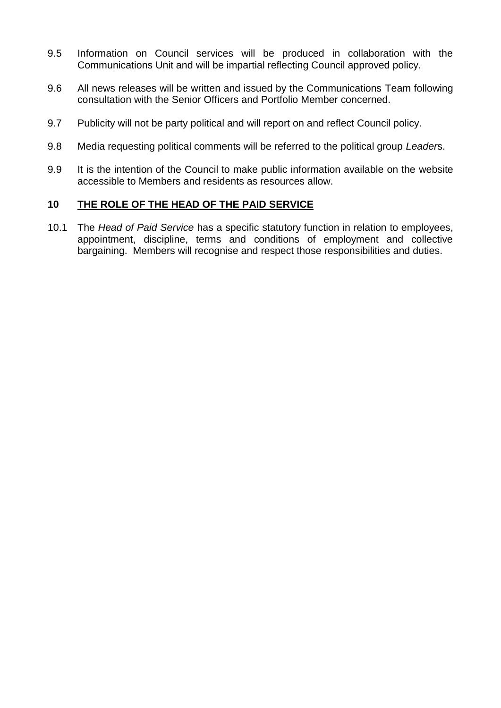- 9.5 Information on Council services will be produced in collaboration with the Communications Unit and will be impartial reflecting Council approved policy.
- 9.6 All news releases will be written and issued by the Communications Team following consultation with the Senior Officers and Portfolio Member concerned.
- 9.7 Publicity will not be party political and will report on and reflect Council policy.
- 9.8 Media requesting political comments will be referred to the political group *Leader*s.
- 9.9 It is the intention of the Council to make public information available on the website accessible to Members and residents as resources allow.

#### **10 THE ROLE OF THE HEAD OF THE PAID SERVICE**

10.1 The *Head of Paid Service* has a specific statutory function in relation to employees, appointment, discipline, terms and conditions of employment and collective bargaining. Members will recognise and respect those responsibilities and duties.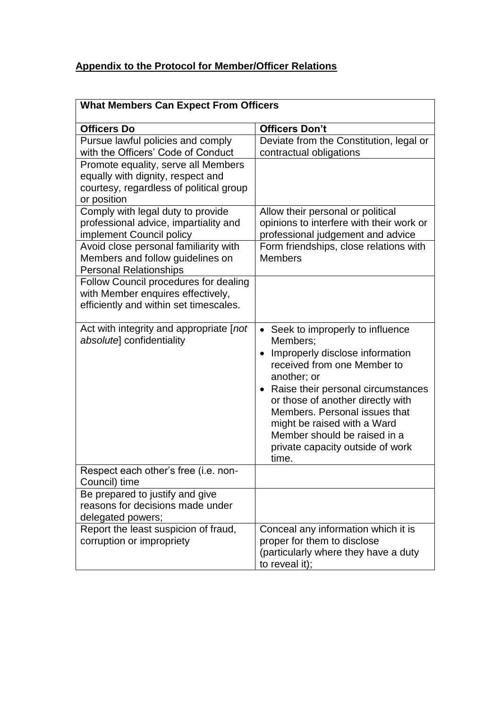# **Appendix to the Protocol for Member/Officer Relations**

| <b>What Members Can Expect From Officers</b>                                                                                       |                                                                                                                                                                                                                                                                                                                                                          |  |
|------------------------------------------------------------------------------------------------------------------------------------|----------------------------------------------------------------------------------------------------------------------------------------------------------------------------------------------------------------------------------------------------------------------------------------------------------------------------------------------------------|--|
| <b>Officers Do</b>                                                                                                                 | <b>Officers Don't</b>                                                                                                                                                                                                                                                                                                                                    |  |
| Pursue lawful policies and comply<br>with the Officers' Code of Conduct                                                            | Deviate from the Constitution, legal or<br>contractual obligations                                                                                                                                                                                                                                                                                       |  |
| Promote equality, serve all Members<br>equally with dignity, respect and<br>courtesy, regardless of political group<br>or position |                                                                                                                                                                                                                                                                                                                                                          |  |
| Comply with legal duty to provide<br>professional advice, impartiality and<br>implement Council policy                             | Allow their personal or political<br>opinions to interfere with their work or<br>professional judgement and advice                                                                                                                                                                                                                                       |  |
| Avoid close personal familiarity with<br>Members and follow guidelines on<br><b>Personal Relationships</b>                         | Form friendships, close relations with<br><b>Members</b>                                                                                                                                                                                                                                                                                                 |  |
| Follow Council procedures for dealing<br>with Member enquires effectively,<br>efficiently and within set timescales.               |                                                                                                                                                                                                                                                                                                                                                          |  |
| Act with integrity and appropriate [not<br>absolute] confidentiality                                                               | • Seek to improperly to influence<br>Members:<br>Improperly disclose information<br>received from one Member to<br>another; or<br>• Raise their personal circumstances<br>or those of another directly with<br>Members. Personal issues that<br>might be raised with a Ward<br>Member should be raised in a<br>private capacity outside of work<br>time. |  |
| Respect each other's free (i.e. non-<br>Council) time                                                                              |                                                                                                                                                                                                                                                                                                                                                          |  |
| Be prepared to justify and give<br>reasons for decisions made under<br>delegated powers;                                           |                                                                                                                                                                                                                                                                                                                                                          |  |
| Report the least suspicion of fraud,<br>corruption or impropriety                                                                  | Conceal any information which it is<br>proper for them to disclose<br>(particularly where they have a duty<br>to reveal it);                                                                                                                                                                                                                             |  |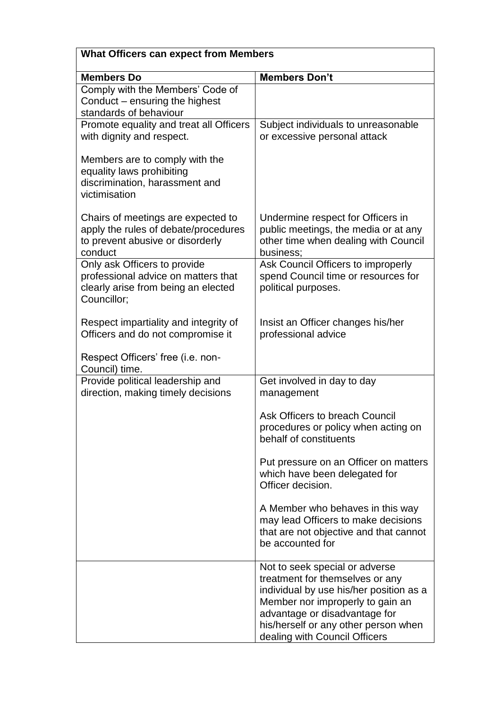| <b>What Officers can expect from Members</b>                                                                              |                                                                                                                                                                                                                                                            |  |
|---------------------------------------------------------------------------------------------------------------------------|------------------------------------------------------------------------------------------------------------------------------------------------------------------------------------------------------------------------------------------------------------|--|
| <b>Members Do</b>                                                                                                         | <b>Members Don't</b>                                                                                                                                                                                                                                       |  |
| Comply with the Members' Code of<br>Conduct – ensuring the highest<br>standards of behaviour                              |                                                                                                                                                                                                                                                            |  |
| Promote equality and treat all Officers<br>with dignity and respect.                                                      | Subject individuals to unreasonable<br>or excessive personal attack                                                                                                                                                                                        |  |
| Members are to comply with the<br>equality laws prohibiting<br>discrimination, harassment and<br>victimisation            |                                                                                                                                                                                                                                                            |  |
| Chairs of meetings are expected to<br>apply the rules of debate/procedures<br>to prevent abusive or disorderly<br>conduct | Undermine respect for Officers in<br>public meetings, the media or at any<br>other time when dealing with Council<br>business;                                                                                                                             |  |
| Only ask Officers to provide<br>professional advice on matters that<br>clearly arise from being an elected<br>Councillor; | Ask Council Officers to improperly<br>spend Council time or resources for<br>political purposes.                                                                                                                                                           |  |
| Respect impartiality and integrity of<br>Officers and do not compromise it                                                | Insist an Officer changes his/her<br>professional advice                                                                                                                                                                                                   |  |
| Respect Officers' free (i.e. non-<br>Council) time.                                                                       |                                                                                                                                                                                                                                                            |  |
| Provide political leadership and<br>direction, making timely decisions                                                    | Get involved in day to day<br>management                                                                                                                                                                                                                   |  |
|                                                                                                                           | Ask Officers to breach Council<br>procedures or policy when acting on<br>behalf of constituents                                                                                                                                                            |  |
|                                                                                                                           | Put pressure on an Officer on matters<br>which have been delegated for<br>Officer decision.                                                                                                                                                                |  |
|                                                                                                                           | A Member who behaves in this way<br>may lead Officers to make decisions<br>that are not objective and that cannot<br>be accounted for                                                                                                                      |  |
|                                                                                                                           | Not to seek special or adverse<br>treatment for themselves or any<br>individual by use his/her position as a<br>Member nor improperly to gain an<br>advantage or disadvantage for<br>his/herself or any other person when<br>dealing with Council Officers |  |